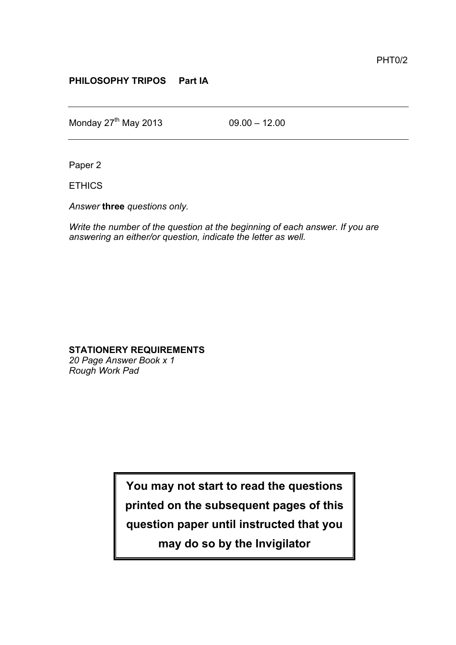## **PHILOSOPHY TRIPOS Part IA**

Monday  $27^{th}$  May 2013 09.00 – 12.00

Paper 2

ETHICS

*Answer* **three** *questions only.*

*Write the number of the question at the beginning of each answer. If you are answering an either/or question, indicate the letter as well.*

## **STATIONERY REQUIREMENTS**

*20 Page Answer Book x 1 Rough Work Pad*

**You may not start to read the questions**

**printed on the subsequent pages of this**

**question paper until instructed that you**

**may do so by the Invigilator**